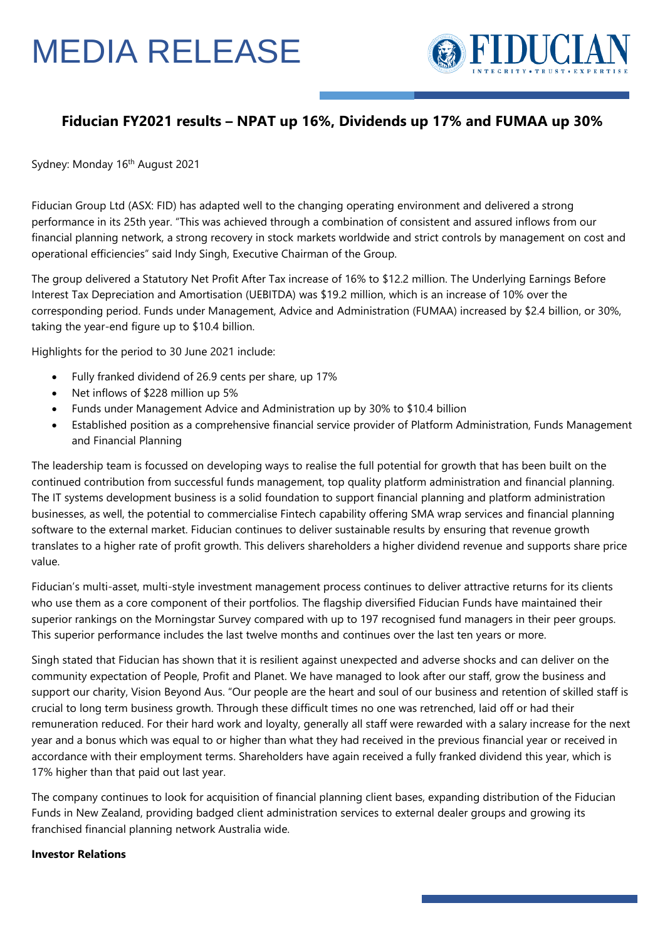## MEDIA RELEASE



### **Fiducian FY2021 results – NPAT up 16%, Dividends up 17% and FUMAA up 30%**

Sydney: Monday 16<sup>th</sup> August 2021

Fiducian Group Ltd (ASX: FID) has adapted well to the changing operating environment and delivered a strong performance in its 25th year. "This was achieved through a combination of consistent and assured inflows from our financial planning network, a strong recovery in stock markets worldwide and strict controls by management on cost and operational efficiencies" said Indy Singh, Executive Chairman of the Group.

The group delivered a Statutory Net Profit After Tax increase of 16% to \$12.2 million. The Underlying Earnings Before Interest Tax Depreciation and Amortisation (UEBITDA) was \$19.2 million, which is an increase of 10% over the corresponding period. Funds under Management, Advice and Administration (FUMAA) increased by \$2.4 billion, or 30%, taking the year-end figure up to \$10.4 billion.

Highlights for the period to 30 June 2021 include:

- Fully franked dividend of 26.9 cents per share, up 17%
- Net inflows of \$228 million up 5%
- Funds under Management Advice and Administration up by 30% to \$10.4 billion
- Established position as a comprehensive financial service provider of Platform Administration, Funds Management and Financial Planning

The leadership team is focussed on developing ways to realise the full potential for growth that has been built on the continued contribution from successful funds management, top quality platform administration and financial planning. The IT systems development business is a solid foundation to support financial planning and platform administration businesses, as well, the potential to commercialise Fintech capability offering SMA wrap services and financial planning software to the external market. Fiducian continues to deliver sustainable results by ensuring that revenue growth translates to a higher rate of profit growth. This delivers shareholders a higher dividend revenue and supports share price value.

Fiducian's multi-asset, multi-style investment management process continues to deliver attractive returns for its clients who use them as a core component of their portfolios. The flagship diversified Fiducian Funds have maintained their superior rankings on the Morningstar Survey compared with up to 197 recognised fund managers in their peer groups. This superior performance includes the last twelve months and continues over the last ten years or more.

Singh stated that Fiducian has shown that it is resilient against unexpected and adverse shocks and can deliver on the community expectation of People, Profit and Planet. We have managed to look after our staff, grow the business and support our charity, Vision Beyond Aus. "Our people are the heart and soul of our business and retention of skilled staff is crucial to long term business growth. Through these difficult times no one was retrenched, laid off or had their remuneration reduced. For their hard work and loyalty, generally all staff were rewarded with a salary increase for the next year and a bonus which was equal to or higher than what they had received in the previous financial year or received in accordance with their employment terms. Shareholders have again received a fully franked dividend this year, which is 17% higher than that paid out last year.

The company continues to look for acquisition of financial planning client bases, expanding distribution of the Fiducian Funds in New Zealand, providing badged client administration services to external dealer groups and growing its franchised financial planning network Australia wide.

#### **Investor Relations**